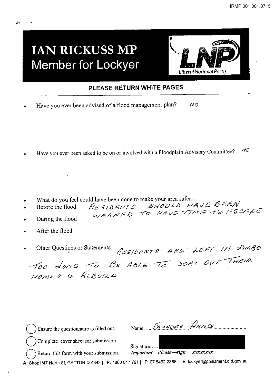## **IAN RICKUSS MP Member for Lockyer**



## **PLEASE RETURN WHITE PAGES**

• Have you ever been advised of a flood management plan? *NO* 

Have you ever been asked to be on or involved with a Floodplain Advisory Committee?  $\dot{v}$ 

- What do you feel could have been done to make your area safer:-<br>Before the flood  $\mathcal{R} \in S \setminus \mathcal{S} \in \mathcal{N} \setminus \mathcal{S}$   $\mathcal{S} \cup \mathcal{O} \cup \mathcal{A} \rightarrow \mathcal{A}$
- Before the flood  $RE$   $S}/0$  *ENTS*  $S$ *HOULD*  $H$ AVE  $B$   $F$ WARNED TO HAVE TIME TO ESCAPE •
- During the flood

 $10^{11}$  M  $_{\odot}$ 

After the flood

<sup>~</sup>...

Other Questions or Statements. RESIDENTS ARE LEFT IN LIMBO

|  |                 |  |  | TOO LONG TO BE ABLE TO SORT OUT INEIR |
|--|-----------------|--|--|---------------------------------------|
|  | HOMES & REBUILD |  |  |                                       |

| $\binom{1}{k}$ Ensure the question aire is filled out. | Name: <i>FRANCES ARND</i>         |
|--------------------------------------------------------|-----------------------------------|
| $\binom{1}{x}$ Complete cover sheet for submission.    | Signature                         |
| $( )$ Return this form with your submission.           | Important-Please-sign<br>xxxxxxxx |

A: Shop1147 North St, GATTON Q 43431 P: 1800817 791 1 F: 07 5462 23881 E: lockyer@parliament.qld.gov.au